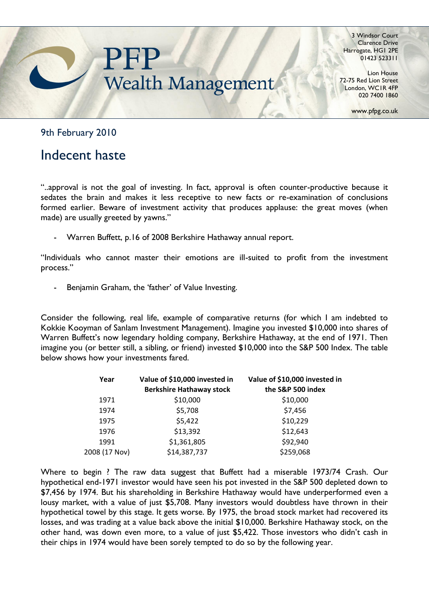

3 Windsor Court Clarence Drive Harrogate, HG1 2PE 01423 523311

Lion House 72-75 Red Lion Street London, WC1R 4FP 020 7400 1860

www.pfpg.co.uk

9th February 2010

## Indecent haste

"..approval is not the goal of investing. In fact, approval is often counter-productive because it sedates the brain and makes it less receptive to new facts or re-examination of conclusions formed earlier. Beware of investment activity that produces applause: the great moves (when made) are usually greeted by yawns."

- Warren Buffett, p.16 of 2008 Berkshire Hathaway annual report.

"Individuals who cannot master their emotions are ill-suited to profit from the investment process."

Benjamin Graham, the 'father' of Value Investing.

Consider the following, real life, example of comparative returns (for which I am indebted to Kokkie Kooyman of Sanlam Investment Management). Imagine you invested \$10,000 into shares of Warren Buffett's now legendary holding company, Berkshire Hathaway, at the end of 1971. Then imagine you (or better still, a sibling, or friend) invested \$10,000 into the S&P 500 Index. The table below shows how your investments fared.

| Year          | Value of \$10,000 invested in<br><b>Berkshire Hathaway stock</b> | Value of \$10,000 invested in<br>the S&P 500 index |
|---------------|------------------------------------------------------------------|----------------------------------------------------|
| 1971          | \$10,000                                                         | \$10,000                                           |
| 1974          | \$5,708                                                          | \$7,456                                            |
| 1975          | \$5,422                                                          | \$10,229                                           |
| 1976          | \$13,392                                                         | \$12,643                                           |
| 1991          | \$1,361,805                                                      | \$92,940                                           |
| 2008 (17 Nov) | \$14,387,737                                                     | \$259,068                                          |

Where to begin ? The raw data suggest that Buffett had a miserable 1973/74 Crash. Our hypothetical end-1971 investor would have seen his pot invested in the S&P 500 depleted down to \$7,456 by 1974. But his shareholding in Berkshire Hathaway would have underperformed even a lousy market, with a value of just \$5,708. Many investors would doubtless have thrown in their hypothetical towel by this stage. It gets worse. By 1975, the broad stock market had recovered its losses, and was trading at a value back above the initial \$10,000. Berkshire Hathaway stock, on the other hand, was down even more, to a value of just \$5,422. Those investors who didn"t cash in their chips in 1974 would have been sorely tempted to do so by the following year.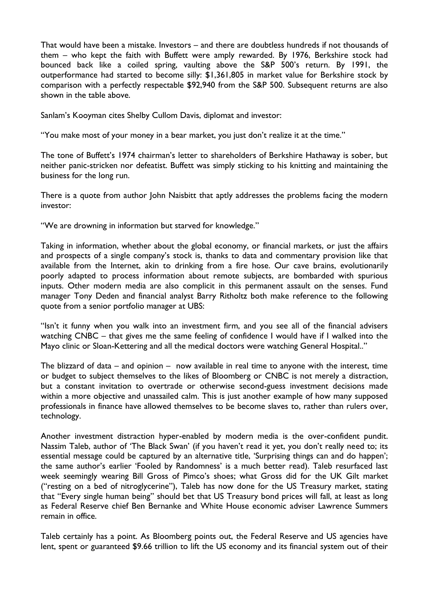That would have been a mistake. Investors – and there are doubtless hundreds if not thousands of them – who kept the faith with Buffett were amply rewarded. By 1976, Berkshire stock had bounced back like a coiled spring, vaulting above the S&P 500"s return. By 1991, the outperformance had started to become silly: \$1,361,805 in market value for Berkshire stock by comparison with a perfectly respectable \$92,940 from the S&P 500. Subsequent returns are also shown in the table above.

Sanlam"s Kooyman cites Shelby Cullom Davis, diplomat and investor:

"You make most of your money in a bear market, you just don"t realize it at the time."

The tone of Buffett's 1974 chairman's letter to shareholders of Berkshire Hathaway is sober, but neither panic-stricken nor defeatist. Buffett was simply sticking to his knitting and maintaining the business for the long run.

There is a quote from author John Naisbitt that aptly addresses the problems facing the modern investor:

"We are drowning in information but starved for knowledge."

Taking in information, whether about the global economy, or financial markets, or just the affairs and prospects of a single company's stock is, thanks to data and commentary provision like that available from the Internet, akin to drinking from a fire hose. Our cave brains, evolutionarily poorly adapted to process information about remote subjects, are bombarded with spurious inputs. Other modern media are also complicit in this permanent assault on the senses. Fund manager Tony Deden and financial analyst Barry Ritholtz both make reference to the following quote from a senior portfolio manager at UBS:

"Isn"t it funny when you walk into an investment firm, and you see all of the financial advisers watching CNBC – that gives me the same feeling of confidence I would have if I walked into the Mayo clinic or Sloan-Kettering and all the medical doctors were watching General Hospital.."

The blizzard of data – and opinion – now available in real time to anyone with the interest, time or budget to subject themselves to the likes of Bloomberg or CNBC is not merely a distraction, but a constant invitation to overtrade or otherwise second-guess investment decisions made within a more objective and unassailed calm. This is just another example of how many supposed professionals in finance have allowed themselves to be become slaves to, rather than rulers over, technology.

Another investment distraction hyper-enabled by modern media is the over-confident pundit. Nassim Taleb, author of "The Black Swan" (if you haven"t read it yet, you don"t really need to; its essential message could be captured by an alternative title, 'Surprising things can and do happen'; the same author's earlier 'Fooled by Randomness' is a much better read). Taleb resurfaced last week seemingly wearing Bill Gross of Pimco's shoes; what Gross did for the UK Gilt market ("resting on a bed of nitroglycerine"), Taleb has now done for the US Treasury market, stating that "Every single human being" should bet that US Treasury bond prices will fall, at least as long as Federal Reserve chief Ben Bernanke and White House economic adviser Lawrence Summers remain in office.

Taleb certainly has a point. As Bloomberg points out, the Federal Reserve and US agencies have lent, spent or guaranteed \$9.66 trillion to lift the US economy and its financial system out of their